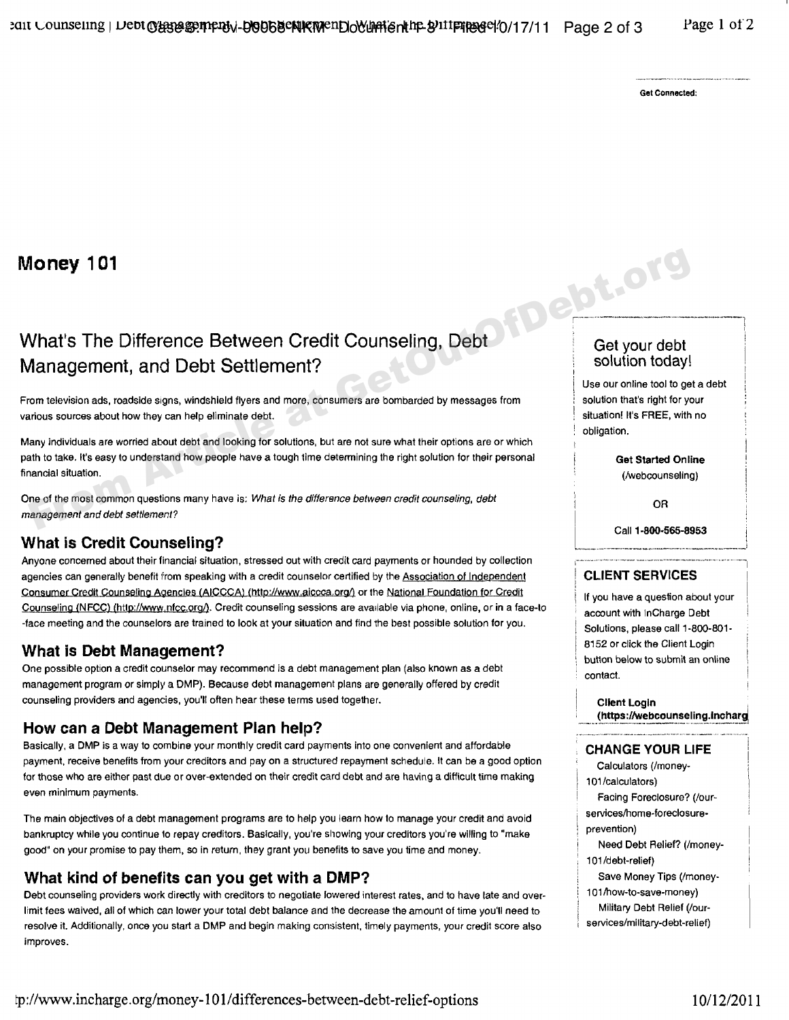Get Connected:

# Money 101

# What's The Difference Between Credit Counseling, Debt Get your debt Management, and Debt Settlement? Solution today!

From television ads, roadside signs, windshield flyers and more, consumers are bombarded by messages from  $\;$  solution that's right for your various sources about how they can help eliminate debt. The stuation of the stuation! It's FREE, with no

Many individuals are worried about debt and looking for solutions, but are not sure what their options are or which path to take. It's easy to understand how people have a tough time determining the right solution for their personal **Get Started Online**<br>
financial situation. (Avehcounseling) financial situation. (/webcounseling) From television ads, roadstde signs, windshield flyers and more, consumers are bombarded by messages from<br>
Management, and Debt Settlement?<br>
From television ads, roadstde signs, windshield flyers and more, consumers are bo

One of the most common questions many have is; What *is the difference* between credit *counseling, debt* OR *management and debt self lemenl?*

### What is Credit Counseling?

Anyone concerned about their financial situation, stressed out with credit card payments or hounded by collection agencies can generally benefit from speaking with a credit counselor certified by the Association of Independent **I CLIENT SERVICES** Consumer Credit Counseling Agencies (AICCCA) (http://www.aiccca.org/) or the National Foundation for Credit<br>Counseling (NFCC) (http://www.nfcc.org/). Credit counseling sessions are available via phone, online, or in a face

## What is Debt Management? **8152 or click the Client Login** 8152 or click the Client Login

One possible option a credit counselor may recommend is a debt management plan (also known as a debt contact. management program or simply a DMP). Because debt management plans are generally offered by credit counseling providers and agencies, you'll often hear these terms used together. **Client and Client Login** Client Login

### How can a Debt Management Plan help?

Basically, a DMP is a way to combine your monthly credit card payments into one convenient and affordable **CHANGE YOUR LIFE** payment, receive benefits from your creditors and pay on a structured repayment schedule. It can be a good option Calculators (/moneyfor those who are either past due or over-extended on their credit card debt and are having a difficult time making 101/calculators)<br>even minimum payments.

The main objectives of a debt management programs are to help you learn how to manage your credit and avoid<br>bankruptcy while you continue to repay creditors. Basically, you're showing your creditors you're willing to "make

# What kind of benefits can you get with a DMP?<br>Debt counseling providers work directly with creditors to negotiate lowered interest rates, and to have late and over- 101/how-to-save-money)

Debt counseling providers work directly with creditors to negotiate lowered interest rates, and to have late and over- 101/how-to-save-money)<br>Imit fees waived all of which can lower your total debt balance and the decrease limit fees waived, all of which can lower your total debt balance and the decrease the amount of time you'll need to resolve it. Additionally, once you start a DMP and begin making consistent, timely payments, your credit score also improves.

Use our online tool to get a debt obligation.

Call **1-800-566-8953**

button below to submit an online

(https://webcounseling.lncharg,

- - Facing Foreclosure? (/our-
- 
- 
- 101/debt-relief)
	-
-